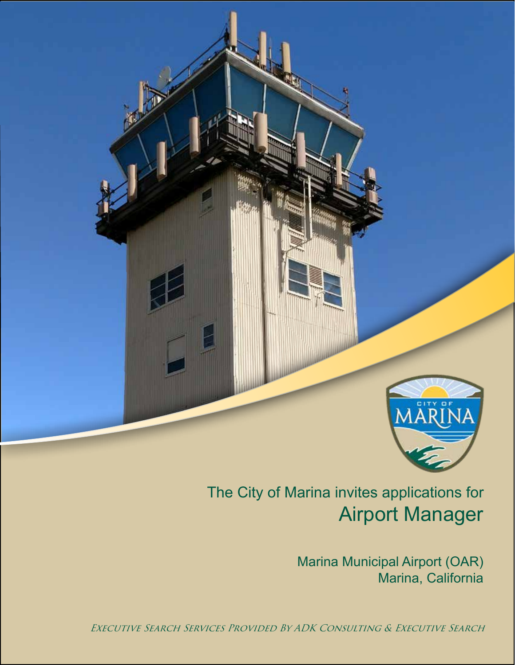

# Airport Manager The City of Marina invites applications for

Marina Municipal Airport (OAR) Marina, California

Executive Search Services Provided By ADK Consulting & Executive Search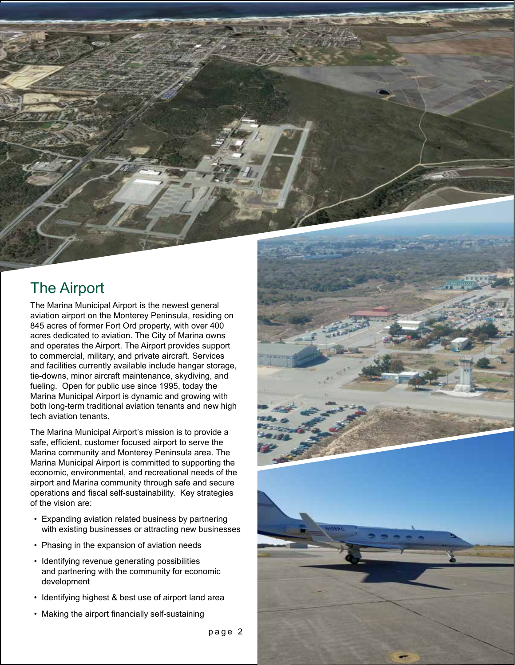#### The Airport

The Marina Municipal Airport is the newest general aviation airport on the Monterey Peninsula, residing on 845 acres of former Fort Ord property, with over 400 acres dedicated to aviation. The City of Marina owns and operates the Airport. The Airport provides support to commercial, military, and private aircraft. Services and facilities currently available include hangar storage, tie-downs, minor aircraft maintenance, skydiving, and fueling. Open for public use since 1995, today the Marina Municipal Airport is dynamic and growing with both long-term traditional aviation tenants and new high tech aviation tenants.

The Marina Municipal Airport's mission is to provide a safe, efficient, customer focused airport to serve the Marina community and Monterey Peninsula area. The Marina Municipal Airport is committed to supporting the economic, environmental, and recreational needs of the airport and Marina community through safe and secure operations and fiscal self-sustainability. Key strategies of the vision are:

- Expanding aviation related business by partnering with existing businesses or attracting new businesses
- Phasing in the expansion of aviation needs
- Identifying revenue generating possibilities and partnering with the community for economic development
- Identifying highest & best use of airport land area
- Making the airport financially self-sustaining

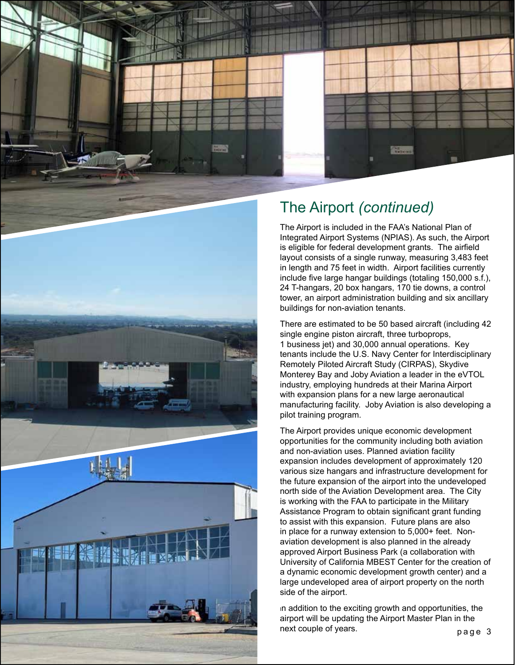

# The Airport *(continued)*

The Airport is included in the FAA's National Plan of Integrated Airport Systems (NPIAS). As such, the Airport is eligible for federal development grants. The airfield layout consists of a single runway, measuring 3,483 feet in length and 75 feet in width. Airport facilities currently include five large hangar buildings (totaling 150,000 s.f.), 24 T-hangars, 20 box hangars, 170 tie downs, a control tower, an airport administration building and six ancillary buildings for non-aviation tenants.

There are estimated to be 50 based aircraft (including 42 single engine piston aircraft, three turboprops, 1 business jet) and 30,000 annual operations. Key tenants include the U.S. Navy Center for Interdisciplinary Remotely Piloted Aircraft Study (CIRPAS), Skydive Monterey Bay and Joby Aviation a leader in the eVTOL industry, employing hundreds at their Marina Airport with expansion plans for a new large aeronautical manufacturing facility. Joby Aviation is also developing a pilot training program.

The Airport provides unique economic development opportunities for the community including both aviation and non-aviation uses. Planned aviation facility expansion includes development of approximately 120 various size hangars and infrastructure development for the future expansion of the airport into the undeveloped north side of the Aviation Development area. The City is working with the FAA to participate in the Military Assistance Program to obtain significant grant funding to assist with this expansion. Future plans are also in place for a runway extension to 5,000+ feet. Nonaviation development is also planned in the already approved Airport Business Park (a collaboration with University of California MBEST Center for the creation of a dynamic economic development growth center) and a large undeveloped area of airport property on the north side of the airport.

page 3 In addition to the exciting growth and opportunities, the airport will be updating the Airport Master Plan in the next couple of years.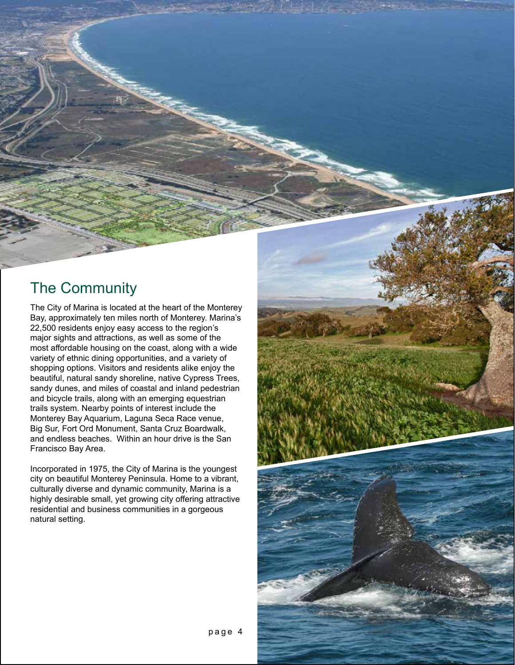#### The Community

The City of Marina is located at the heart of the Monterey Bay, approximately ten miles north of Monterey. Marina's 22,500 residents enjoy easy access to the region's major sights and attractions, as well as some of the most affordable housing on the coast, along with a wide variety of ethnic dining opportunities, and a variety of shopping options. Visitors and residents alike enjoy the beautiful, natural sandy shoreline, native Cypress Trees, sandy dunes, and miles of coastal and inland pedestrian and bicycle trails, along with an emerging equestrian trails system. Nearby points of interest include the Monterey Bay Aquarium, Laguna Seca Race venue, Big Sur, Fort Ord Monument, Santa Cruz Boardwalk, and endless beaches. Within an hour drive is the San Francisco Bay Area.

Incorporated in 1975, the City of Marina is the youngest city on beautiful Monterey Peninsula. Home to a vibrant, culturally diverse and dynamic community, Marina is a highly desirable small, yet growing city offering attractive residential and business communities in a gorgeous natural setting.

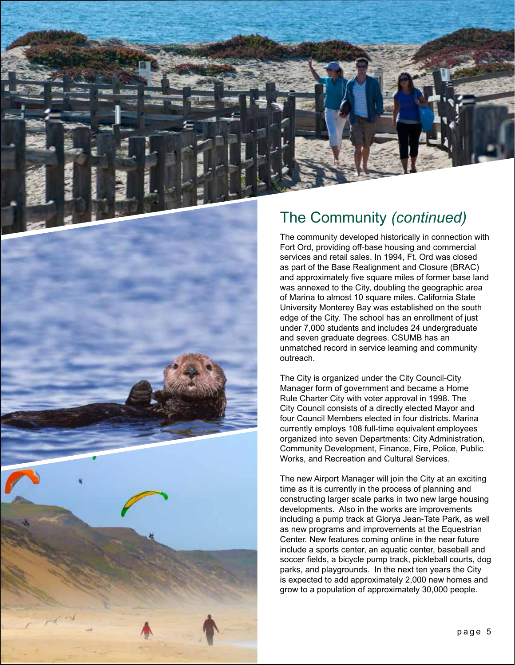



#### The Community *(continued)*

The community developed historically in connection with Fort Ord, providing off-base housing and commercial services and retail sales. In 1994, Ft. Ord was closed as part of the Base Realignment and Closure (BRAC) and approximately five square miles of former base land was annexed to the City, doubling the geographic area of Marina to almost 10 square miles. California State University Monterey Bay was established on the south edge of the City. The school has an enrollment of just under 7,000 students and includes 24 undergraduate and seven graduate degrees. CSUMB has an unmatched record in service learning and community outreach.

The City is organized under the City Council-City Manager form of government and became a Home Rule Charter City with voter approval in 1998. The City Council consists of a directly elected Mayor and four Council Members elected in four districts. Marina currently employs 108 full-time equivalent employees organized into seven Departments: City Administration, Community Development, Finance, Fire, Police, Public Works, and Recreation and Cultural Services.

The new Airport Manager will join the City at an exciting time as it is currently in the process of planning and constructing larger scale parks in two new large housing developments. Also in the works are improvements including a pump track at Glorya Jean-Tate Park, as well as new programs and improvements at the Equestrian Center. New features coming online in the near future include a sports center, an aquatic center, baseball and soccer fields, a bicycle pump track, pickleball courts, dog parks, and playgrounds. In the next ten years the City is expected to add approximately 2,000 new homes and grow to a population of approximately 30,000 people.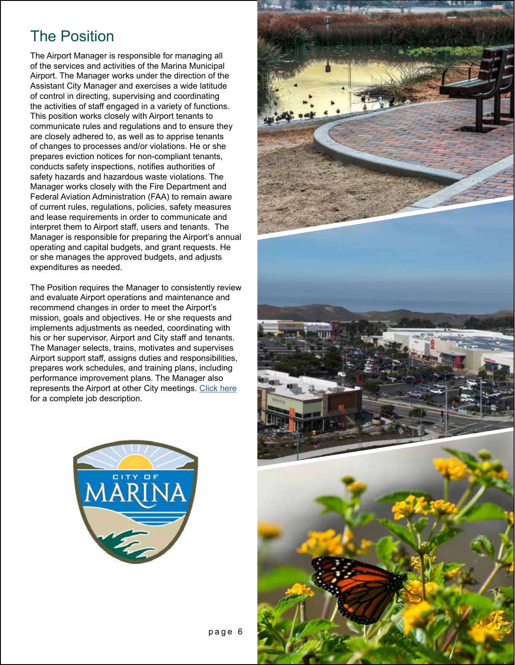#### The Position

The Airport Manager is responsible for managing all of the services and activities of the Marina Municipal Airport. The Manager works under the direction of the Assistant City Manager and exercises a wide latitude of control in directing, supervising and coordinating the activities of staff engaged in a variety of functions. This position works closely with Airport tenants to communicate rules and regulations and to ensure they are closely adhered to, as well as to apprise tenants of changes to processes and/or violations. He or she prepares eviction notices for non-compliant tenants, conducts safety inspections, notifies authorities of safety hazards and hazardous waste violations. The Manager works closely with the Fire Department and Federal Aviation Administration (FAA) to remain aware of current rules, regulations, policies, safety measures and lease requirements in order to communicate and interpret them to Airport staff, users and tenants. The Manager is responsible for preparing the Airport's annual operating and capital budgets, and grant requests. He or she manages the approved budgets, and adjusts expenditures as needed.

The Position requires the Manager to consistently review and evaluate Airport operations and maintenance and recommend changes in order to meet the Airport's mission, goals and objectives. He or she requests and implements adjustments as needed, coordinating with his or her supervisor, Airport and City staff and tenants. The Manager selects, trains, motivates and supervises Airport support staff, assigns duties and responsibilities, prepares work schedules, and training plans, including performance improvement plans. The Manager also represents the Airport at other City meetings. [Click here](https://adkexecutivesearch.com/wp-content/uploads/2022/06/Airport-Manager-Updated-5.31.22.pdf) for a complete job description.